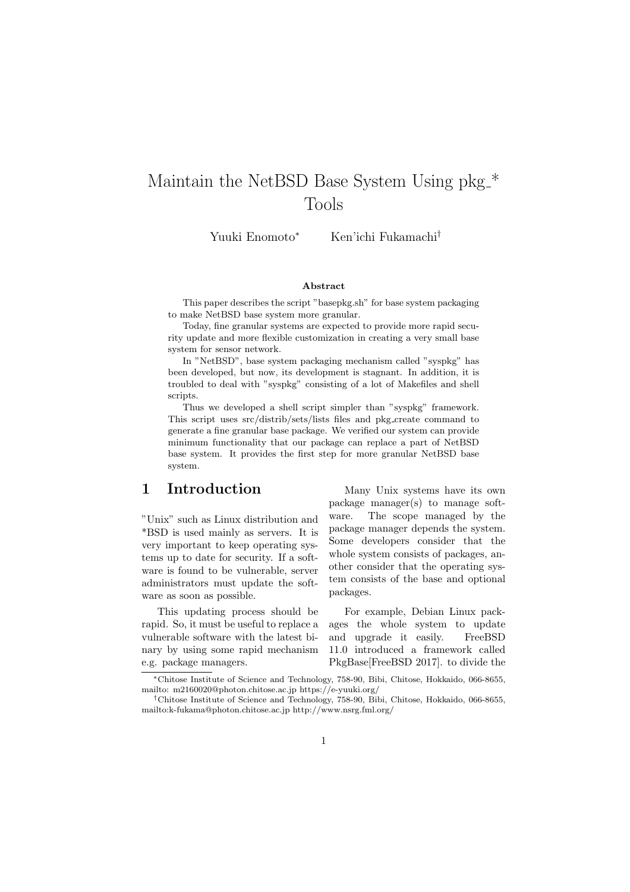# Maintain the NetBSD Base System Using  $\ensuremath{\text{\rm pk}}\xspace^*$ Tools

Yuuki Enomoto<sup>∗</sup> Ken'ichi Fukamachi†

#### Abstract

This paper describes the script "basepkg.sh" for base system packaging to make NetBSD base system more granular.

Today, fine granular systems are expected to provide more rapid security update and more flexible customization in creating a very small base system for sensor network.

In "NetBSD", base system packaging mechanism called "syspkg" has been developed, but now, its development is stagnant. In addition, it is troubled to deal with "syspkg" consisting of a lot of Makefiles and shell scripts.

Thus we developed a shell script simpler than "syspkg" framework. This script uses src/distrib/sets/lists files and pkg create command to generate a fine granular base package. We verified our system can provide minimum functionality that our package can replace a part of NetBSD base system. It provides the first step for more granular NetBSD base system.

## 1 Introduction

"Unix" such as Linux distribution and \*BSD is used mainly as servers. It is very important to keep operating systems up to date for security. If a software is found to be vulnerable, server administrators must update the software as soon as possible.

This updating process should be rapid. So, it must be useful to replace a vulnerable software with the latest binary by using some rapid mechanism e.g. package managers.

Many Unix systems have its own package manager(s) to manage software. The scope managed by the package manager depends the system. Some developers consider that the whole system consists of packages, another consider that the operating system consists of the base and optional packages.

For example, Debian Linux packages the whole system to update and upgrade it easily. FreeBSD 11.0 introduced a framework called PkgBase[FreeBSD 2017]. to divide the

<sup>∗</sup>Chitose Institute of Science and Technology, 758-90, Bibi, Chitose, Hokkaido, 066-8655, mailto: m2160020@photon.chitose.ac.jp https://e-yuuki.org/

<sup>†</sup>Chitose Institute of Science and Technology, 758-90, Bibi, Chitose, Hokkaido, 066-8655, mailto:k-fukama@photon.chitose.ac.jp http://www.nsrg.fml.org/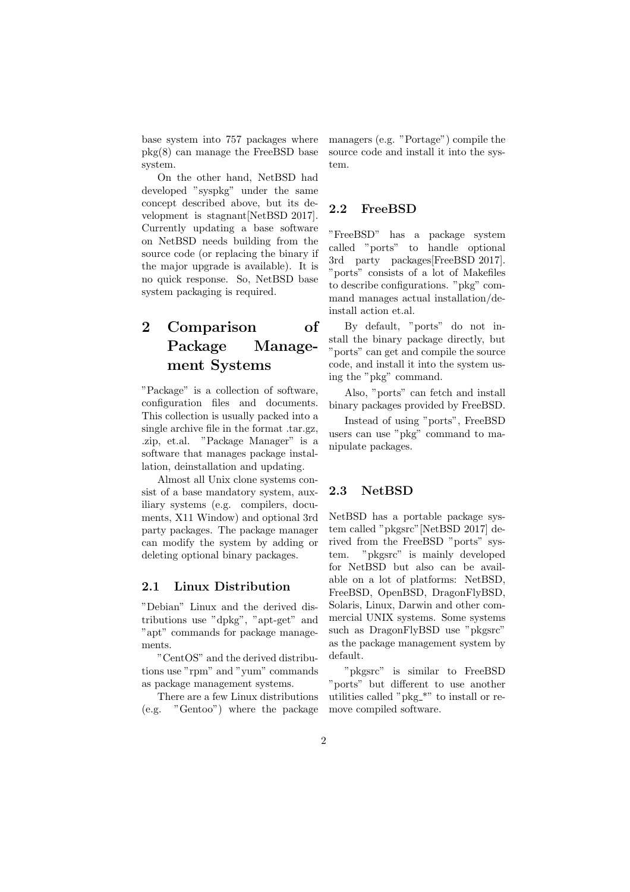base system into 757 packages where pkg(8) can manage the FreeBSD base system.

On the other hand, NetBSD had developed "syspkg" under the same concept described above, but its development is stagnant[NetBSD 2017]. Currently updating a base software on NetBSD needs building from the source code (or replacing the binary if the major upgrade is available). It is no quick response. So, NetBSD base system packaging is required.

# 2 Comparison of Package Management Systems

"Package" is a collection of software, configuration files and documents. This collection is usually packed into a single archive file in the format .tar.gz, .zip, et.al. "Package Manager" is a software that manages package installation, deinstallation and updating.

Almost all Unix clone systems consist of a base mandatory system, auxiliary systems (e.g. compilers, documents, X11 Window) and optional 3rd party packages. The package manager can modify the system by adding or deleting optional binary packages.

#### 2.1 Linux Distribution

"Debian" Linux and the derived distributions use "dpkg", "apt-get" and "apt" commands for package managements.

"CentOS" and the derived distributions use "rpm" and "yum" commands as package management systems.

There are a few Linux distributions (e.g. "Gentoo") where the package managers (e.g. "Portage") compile the source code and install it into the system.

### 2.2 FreeBSD

"FreeBSD" has a package system called "ports" to handle optional 3rd party packages[FreeBSD 2017]. "ports" consists of a lot of Makefiles to describe configurations. "pkg" command manages actual installation/deinstall action et.al.

By default, "ports" do not install the binary package directly, but "ports" can get and compile the source code, and install it into the system using the "pkg" command.

Also, "ports" can fetch and install binary packages provided by FreeBSD.

Instead of using "ports", FreeBSD users can use "pkg" command to manipulate packages.

#### 2.3 NetBSD

NetBSD has a portable package system called "pkgsrc"[NetBSD 2017] derived from the FreeBSD "ports" system. "pkgsrc" is mainly developed for NetBSD but also can be available on a lot of platforms: NetBSD, FreeBSD, OpenBSD, DragonFlyBSD, Solaris, Linux, Darwin and other commercial UNIX systems. Some systems such as DragonFlyBSD use "pkgsrc" as the package management system by default.

"pkgsrc" is similar to FreeBSD "ports" but different to use another utilities called "pkg \*" to install or remove compiled software.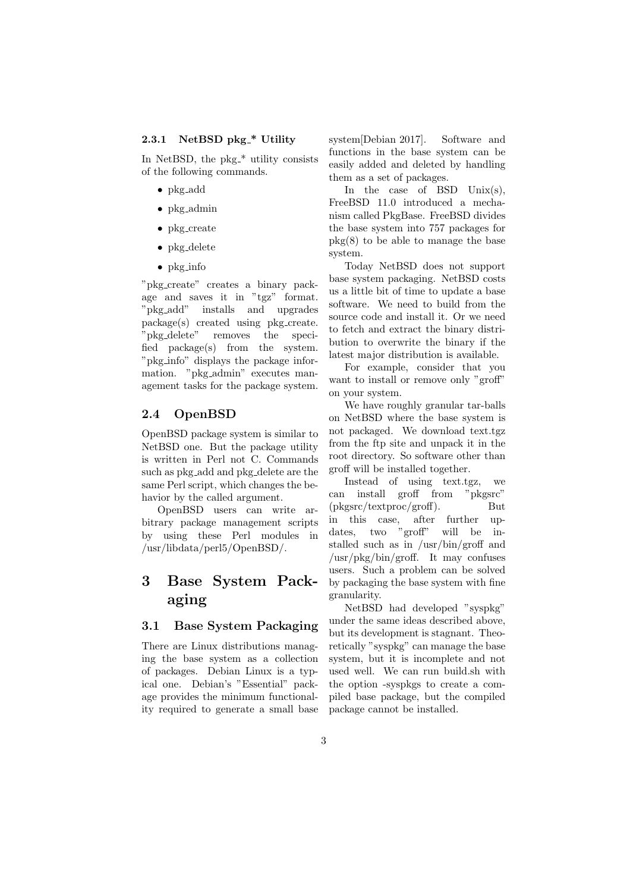#### 2.3.1 NetBSD pkg\_\* Utility

In NetBSD, the  $pkg_*^*$  utility consists of the following commands.

- pkg add
- pkg admin
- pkg create
- pkg delete
- pkg info

"pkg create" creates a binary package and saves it in "tgz" format. "pkg add" installs and upgrades package(s) created using pkg create. "pkg delete" removes the specified package(s) from the system. "pkg info" displays the package information. "pkg admin" executes management tasks for the package system.

### 2.4 OpenBSD

OpenBSD package system is similar to NetBSD one. But the package utility is written in Perl not C. Commands such as pkg add and pkg delete are the same Perl script, which changes the behavior by the called argument.

OpenBSD users can write arbitrary package management scripts by using these Perl modules in /usr/libdata/perl5/OpenBSD/.

# 3 Base System Packaging

## 3.1 Base System Packaging

There are Linux distributions managing the base system as a collection of packages. Debian Linux is a typical one. Debian's "Essential" package provides the minimum functionality required to generate a small base system[Debian 2017]. Software and functions in the base system can be easily added and deleted by handling them as a set of packages.

In the case of BSD  $Unix(s)$ , FreeBSD 11.0 introduced a mechanism called PkgBase. FreeBSD divides the base system into 757 packages for  $p\text{kg}(8)$  to be able to manage the base system.

Today NetBSD does not support base system packaging. NetBSD costs us a little bit of time to update a base software. We need to build from the source code and install it. Or we need to fetch and extract the binary distribution to overwrite the binary if the latest major distribution is available.

For example, consider that you want to install or remove only "groff" on your system.

We have roughly granular tar-balls on NetBSD where the base system is not packaged. We download text.tgz from the ftp site and unpack it in the root directory. So software other than groff will be installed together.

Instead of using text.tgz, we can install groff from "pkgsrc" (pkgsrc/textproc/groff). But in this case, after further updates, two "groff" will be installed such as in /usr/bin/groff and /usr/pkg/bin/groff. It may confuses users. Such a problem can be solved by packaging the base system with fine granularity.

NetBSD had developed "syspkg" under the same ideas described above, but its development is stagnant. Theoretically "syspkg" can manage the base system, but it is incomplete and not used well. We can run build.sh with the option -syspkgs to create a compiled base package, but the compiled package cannot be installed.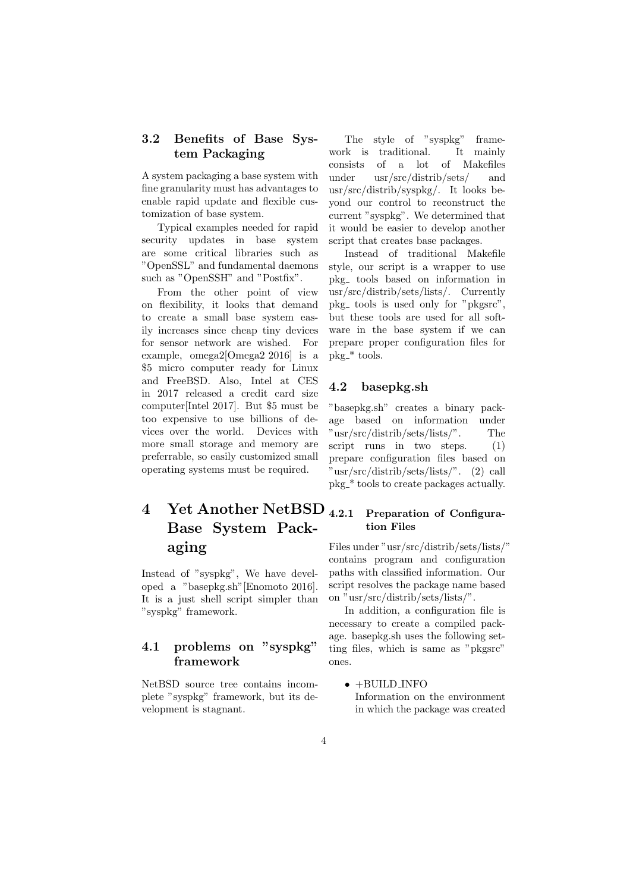### 3.2 Benefits of Base System Packaging

A system packaging a base system with fine granularity must has advantages to enable rapid update and flexible customization of base system.

Typical examples needed for rapid security updates in base system are some critical libraries such as "OpenSSL" and fundamental daemons such as "OpenSSH" and "Postfix".

From the other point of view on flexibility, it looks that demand to create a small base system easily increases since cheap tiny devices for sensor network are wished. For example, omega2[Omega2 2016] is a \$5 micro computer ready for Linux and FreeBSD. Also, Intel at CES in 2017 released a credit card size computer[Intel 2017]. But \$5 must be too expensive to use billions of devices over the world. Devices with more small storage and memory are preferrable, so easily customized small operating systems must be required.

# 4 Yet Another NetBSD Base System Packaging

Instead of "syspkg", We have developed a "basepkg.sh"[Enomoto 2016]. It is a just shell script simpler than "syspkg" framework.

### 4.1 problems on "syspkg" framework

NetBSD source tree contains incomplete "syspkg" framework, but its development is stagnant.

The style of "syspkg" framework is traditional. It mainly consists of a lot of Makefiles under usr/src/distrib/sets/ and usr/src/distrib/syspkg/. It looks beyond our control to reconstruct the current "syspkg". We determined that it would be easier to develop another script that creates base packages.

Instead of traditional Makefile style, our script is a wrapper to use pkg tools based on information in usr/src/distrib/sets/lists/. Currently pkg<sub>-</sub> tools is used only for "pkgsrc", but these tools are used for all software in the base system if we can prepare proper configuration files for pkg \* tools.

### 4.2 basepkg.sh

"basepkg.sh" creates a binary package based on information under "usr/src/distrib/sets/lists/". The script runs in two steps.  $(1)$ prepare configuration files based on "usr/src/distrib/sets/lists/". (2) call pkg \* tools to create packages actually.

## 4.2.1 Preparation of Configuration Files

Files under "usr/src/distrib/sets/lists/" contains program and configuration paths with classified information. Our script resolves the package name based on "usr/src/distrib/sets/lists/".

In addition, a configuration file is necessary to create a compiled package. basepkg.sh uses the following setting files, which is same as "pkgsrc" ones.

 $\bullet$  +BUILD INFO Information on the environment in which the package was created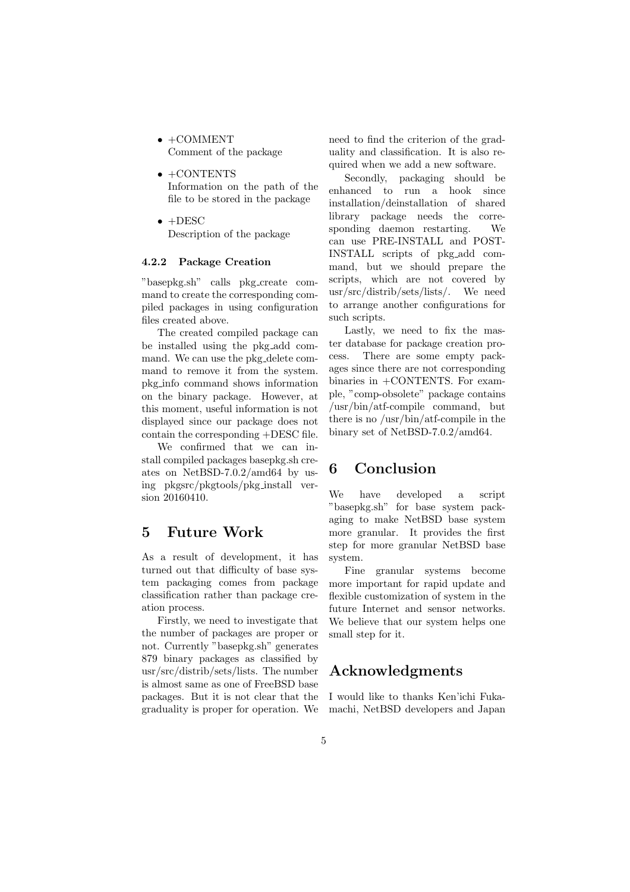- $\bullet$  +COMMENT Comment of the package
- $\bullet$  +CONTENTS Information on the path of the file to be stored in the package
- $\bullet$  +DESC Description of the package

#### 4.2.2 Package Creation

"basepkg.sh" calls pkg create command to create the corresponding compiled packages in using configuration files created above.

The created compiled package can be installed using the pkg add command. We can use the pkg delete command to remove it from the system. pkg info command shows information on the binary package. However, at this moment, useful information is not displayed since our package does not contain the corresponding +DESC file.

We confirmed that we can install compiled packages basepkg.sh creates on NetBSD-7.0.2/amd64 by using pkgsrc/pkgtools/pkg install version 20160410.

## 5 Future Work

As a result of development, it has turned out that difficulty of base system packaging comes from package classification rather than package creation process.

Firstly, we need to investigate that the number of packages are proper or not. Currently "basepkg.sh" generates 879 binary packages as classified by usr/src/distrib/sets/lists. The number is almost same as one of FreeBSD base packages. But it is not clear that the graduality is proper for operation. We need to find the criterion of the graduality and classification. It is also required when we add a new software.

Secondly, packaging should be enhanced to run a hook since installation/deinstallation of shared library package needs the corresponding daemon restarting. We can use PRE-INSTALL and POST-INSTALL scripts of pkg add command, but we should prepare the scripts, which are not covered by usr/src/distrib/sets/lists/. We need to arrange another configurations for such scripts.

Lastly, we need to fix the master database for package creation process. There are some empty packages since there are not corresponding binaries in +CONTENTS. For example, "comp-obsolete" package contains /usr/bin/atf-compile command, but there is no /usr/bin/atf-compile in the binary set of NetBSD-7.0.2/amd64.

## 6 Conclusion

We have developed a script "basepkg.sh" for base system packaging to make NetBSD base system more granular. It provides the first step for more granular NetBSD base system.

Fine granular systems become more important for rapid update and flexible customization of system in the future Internet and sensor networks. We believe that our system helps one small step for it.

## Acknowledgments

I would like to thanks Ken'ichi Fukamachi, NetBSD developers and Japan